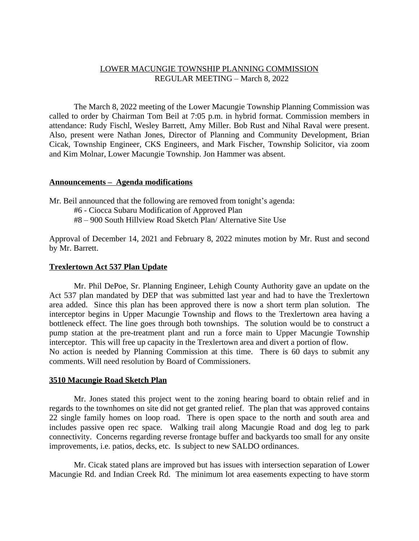### LOWER MACUNGIE TOWNSHIP PLANNING COMMISSION REGULAR MEETING – March 8, 2022

The March 8, 2022 meeting of the Lower Macungie Township Planning Commission was called to order by Chairman Tom Beil at 7:05 p.m. in hybrid format. Commission members in attendance: Rudy Fischl, Wesley Barrett, Amy Miller. Bob Rust and Nihal Raval were present. Also, present were Nathan Jones, Director of Planning and Community Development, Brian Cicak, Township Engineer, CKS Engineers, and Mark Fischer, Township Solicitor, via zoom and Kim Molnar, Lower Macungie Township. Jon Hammer was absent.

### **Announcements – Agenda modifications**

Mr. Beil announced that the following are removed from tonight's agenda:

- #6 Ciocca Subaru Modification of Approved Plan
- #8 900 South Hillview Road Sketch Plan/ Alternative Site Use

Approval of December 14, 2021 and February 8, 2022 minutes motion by Mr. Rust and second by Mr. Barrett.

### **Trexlertown Act 537 Plan Update**

Mr. Phil DePoe, Sr. Planning Engineer, Lehigh County Authority gave an update on the Act 537 plan mandated by DEP that was submitted last year and had to have the Trexlertown area added. Since this plan has been approved there is now a short term plan solution. The interceptor begins in Upper Macungie Township and flows to the Trexlertown area having a bottleneck effect. The line goes through both townships. The solution would be to construct a pump station at the pre-treatment plant and run a force main to Upper Macungie Township interceptor. This will free up capacity in the Trexlertown area and divert a portion of flow. No action is needed by Planning Commission at this time. There is 60 days to submit any comments. Will need resolution by Board of Commissioners.

#### **3510 Macungie Road Sketch Plan**

Mr. Jones stated this project went to the zoning hearing board to obtain relief and in regards to the townhomes on site did not get granted relief. The plan that was approved contains 22 single family homes on loop road. There is open space to the north and south area and includes passive open rec space. Walking trail along Macungie Road and dog leg to park connectivity. Concerns regarding reverse frontage buffer and backyards too small for any onsite improvements, i.e. patios, decks, etc. Is subject to new SALDO ordinances.

Mr. Cicak stated plans are improved but has issues with intersection separation of Lower Macungie Rd. and Indian Creek Rd. The minimum lot area easements expecting to have storm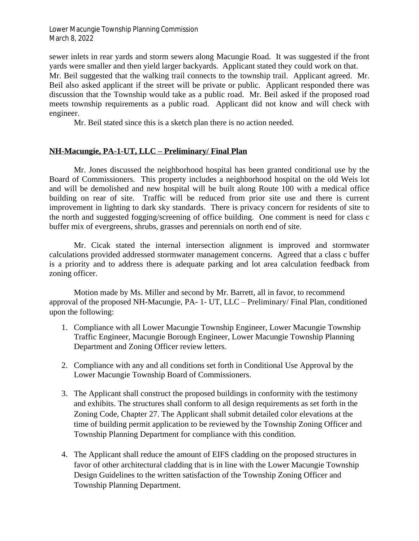sewer inlets in rear yards and storm sewers along Macungie Road. It was suggested if the front yards were smaller and then yield larger backyards. Applicant stated they could work on that. Mr. Beil suggested that the walking trail connects to the township trail. Applicant agreed. Mr. Beil also asked applicant if the street will be private or public. Applicant responded there was discussion that the Township would take as a public road. Mr. Beil asked if the proposed road meets township requirements as a public road. Applicant did not know and will check with engineer.

Mr. Beil stated since this is a sketch plan there is no action needed.

# **NH-Macungie, PA-1-UT, LLC – Preliminary/ Final Plan**

Mr. Jones discussed the neighborhood hospital has been granted conditional use by the Board of Commissioners. This property includes a neighborhood hospital on the old Weis lot and will be demolished and new hospital will be built along Route 100 with a medical office building on rear of site. Traffic will be reduced from prior site use and there is current improvement in lighting to dark sky standards. There is privacy concern for residents of site to the north and suggested fogging/screening of office building. One comment is need for class c buffer mix of evergreens, shrubs, grasses and perennials on north end of site.

Mr. Cicak stated the internal intersection alignment is improved and stormwater calculations provided addressed stormwater management concerns. Agreed that a class c buffer is a priority and to address there is adequate parking and lot area calculation feedback from zoning officer.

Motion made by Ms. Miller and second by Mr. Barrett, all in favor, to recommend approval of the proposed NH-Macungie, PA- 1- UT, LLC – Preliminary/ Final Plan, conditioned upon the following:

- 1. Compliance with all Lower Macungie Township Engineer, Lower Macungie Township Traffic Engineer, Macungie Borough Engineer, Lower Macungie Township Planning Department and Zoning Officer review letters.
- 2. Compliance with any and all conditions set forth in Conditional Use Approval by the Lower Macungie Township Board of Commissioners.
- 3. The Applicant shall construct the proposed buildings in conformity with the testimony and exhibits. The structures shall conform to all design requirements as set forth in the Zoning Code, Chapter 27. The Applicant shall submit detailed color elevations at the time of building permit application to be reviewed by the Township Zoning Officer and Township Planning Department for compliance with this condition.
- 4. The Applicant shall reduce the amount of EIFS cladding on the proposed structures in favor of other architectural cladding that is in line with the Lower Macungie Township Design Guidelines to the written satisfaction of the Township Zoning Officer and Township Planning Department.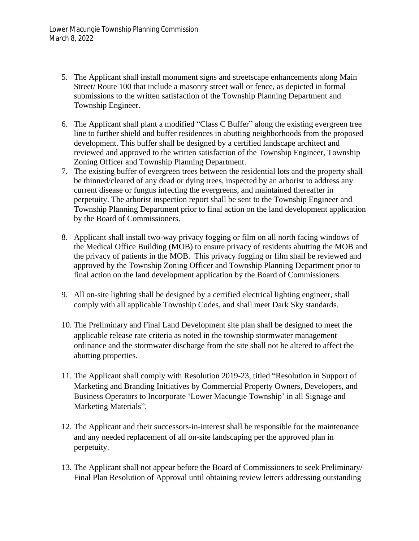- 5. The Applicant shall install monument signs and streetscape enhancements along Main Street/ Route 100 that include a masonry street wall or fence, as depicted in formal submissions to the written satisfaction of the Township Planning Department and Township Engineer.
- 6. The Applicant shall plant a modified "Class C Buffer" along the existing evergreen tree line to further shield and buffer residences in abutting neighborhoods from the proposed development. This buffer shall be designed by a certified landscape architect and reviewed and approved to the written satisfaction of the Township Engineer, Township Zoning Officer and Township Planning Department.
- 7. The existing buffer of evergreen trees between the residential lots and the property shall be thinned/cleared of any dead or dying trees, inspected by an arborist to address any current disease or fungus infecting the evergreens, and maintained thereafter in perpetuity. The arborist inspection report shall be sent to the Township Engineer and Township Planning Department prior to final action on the land development application by the Board of Commissioners.
- 8. Applicant shall install two-way privacy fogging or film on all north facing windows of the Medical Office Building (MOB) to ensure privacy of residents abutting the MOB and the privacy of patients in the MOB. This privacy fogging or film shall be reviewed and approved by the Township Zoning Officer and Township Planning Department prior to final action on the land development application by the Board of Commissioners.
- 9. All on-site lighting shall be designed by a certified electrical lighting engineer, shall comply with all applicable Township Codes, and shall meet Dark Sky standards.
- 10. The Preliminary and Final Land Development site plan shall be designed to meet the applicable release rate criteria as noted in the township stormwater management ordinance and the stormwater discharge from the site shall not be altered to affect the abutting properties.
- 11. The Applicant shall comply with Resolution 2019-23, titled "Resolution in Support of Marketing and Branding Initiatives by Commercial Property Owners, Developers, and Business Operators to Incorporate 'Lower Macungie Township' in all Signage and Marketing Materials".
- 12. The Applicant and their successors-in-interest shall be responsible for the maintenance and any needed replacement of all on-site landscaping per the approved plan in perpetuity.
- 13. The Applicant shall not appear before the Board of Commissioners to seek Preliminary/ Final Plan Resolution of Approval until obtaining review letters addressing outstanding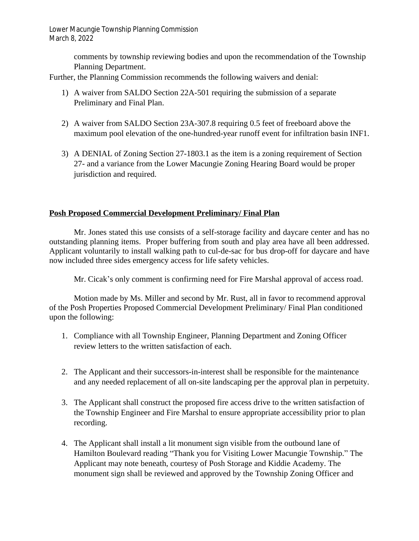> comments by township reviewing bodies and upon the recommendation of the Township Planning Department.

Further, the Planning Commission recommends the following waivers and denial:

- 1) A waiver from SALDO Section 22A-501 requiring the submission of a separate Preliminary and Final Plan.
- 2) A waiver from SALDO Section 23A-307.8 requiring 0.5 feet of freeboard above the maximum pool elevation of the one-hundred-year runoff event for infiltration basin INF1.
- 3) A DENIAL of Zoning Section 27-1803.1 as the item is a zoning requirement of Section 27- and a variance from the Lower Macungie Zoning Hearing Board would be proper jurisdiction and required.

## **Posh Proposed Commercial Development Preliminary/ Final Plan**

Mr. Jones stated this use consists of a self-storage facility and daycare center and has no outstanding planning items. Proper buffering from south and play area have all been addressed. Applicant voluntarily to install walking path to cul-de-sac for bus drop-off for daycare and have now included three sides emergency access for life safety vehicles.

Mr. Cicak's only comment is confirming need for Fire Marshal approval of access road.

Motion made by Ms. Miller and second by Mr. Rust, all in favor to recommend approval of the Posh Properties Proposed Commercial Development Preliminary/ Final Plan conditioned upon the following:

- 1. Compliance with all Township Engineer, Planning Department and Zoning Officer review letters to the written satisfaction of each.
- 2. The Applicant and their successors-in-interest shall be responsible for the maintenance and any needed replacement of all on-site landscaping per the approval plan in perpetuity.
- 3. The Applicant shall construct the proposed fire access drive to the written satisfaction of the Township Engineer and Fire Marshal to ensure appropriate accessibility prior to plan recording.
- 4. The Applicant shall install a lit monument sign visible from the outbound lane of Hamilton Boulevard reading "Thank you for Visiting Lower Macungie Township." The Applicant may note beneath, courtesy of Posh Storage and Kiddie Academy. The monument sign shall be reviewed and approved by the Township Zoning Officer and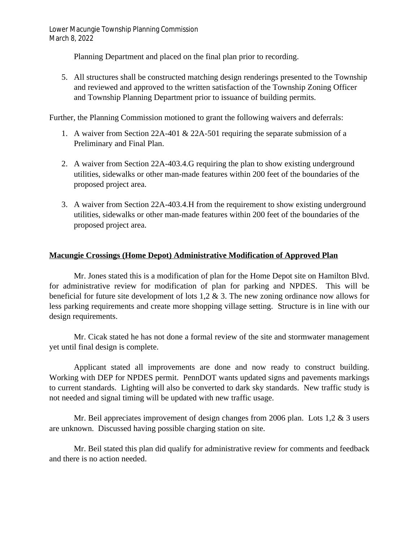Planning Department and placed on the final plan prior to recording.

5. All structures shall be constructed matching design renderings presented to the Township and reviewed and approved to the written satisfaction of the Township Zoning Officer and Township Planning Department prior to issuance of building permits.

Further, the Planning Commission motioned to grant the following waivers and deferrals:

- 1. A waiver from Section 22A-401 & 22A-501 requiring the separate submission of a Preliminary and Final Plan.
- 2. A waiver from Section 22A-403.4.G requiring the plan to show existing underground utilities, sidewalks or other man-made features within 200 feet of the boundaries of the proposed project area.
- 3. A waiver from Section 22A-403.4.H from the requirement to show existing underground utilities, sidewalks or other man-made features within 200 feet of the boundaries of the proposed project area.

# **Macungie Crossings (Home Depot) Administrative Modification of Approved Plan**

Mr. Jones stated this is a modification of plan for the Home Depot site on Hamilton Blvd. for administrative review for modification of plan for parking and NPDES. This will be beneficial for future site development of lots 1,2 & 3. The new zoning ordinance now allows for less parking requirements and create more shopping village setting. Structure is in line with our design requirements.

Mr. Cicak stated he has not done a formal review of the site and stormwater management yet until final design is complete.

Applicant stated all improvements are done and now ready to construct building. Working with DEP for NPDES permit. PennDOT wants updated signs and pavements markings to current standards. Lighting will also be converted to dark sky standards. New traffic study is not needed and signal timing will be updated with new traffic usage.

Mr. Beil appreciates improvement of design changes from 2006 plan. Lots  $1,2 \& 3$  users are unknown. Discussed having possible charging station on site.

Mr. Beil stated this plan did qualify for administrative review for comments and feedback and there is no action needed.